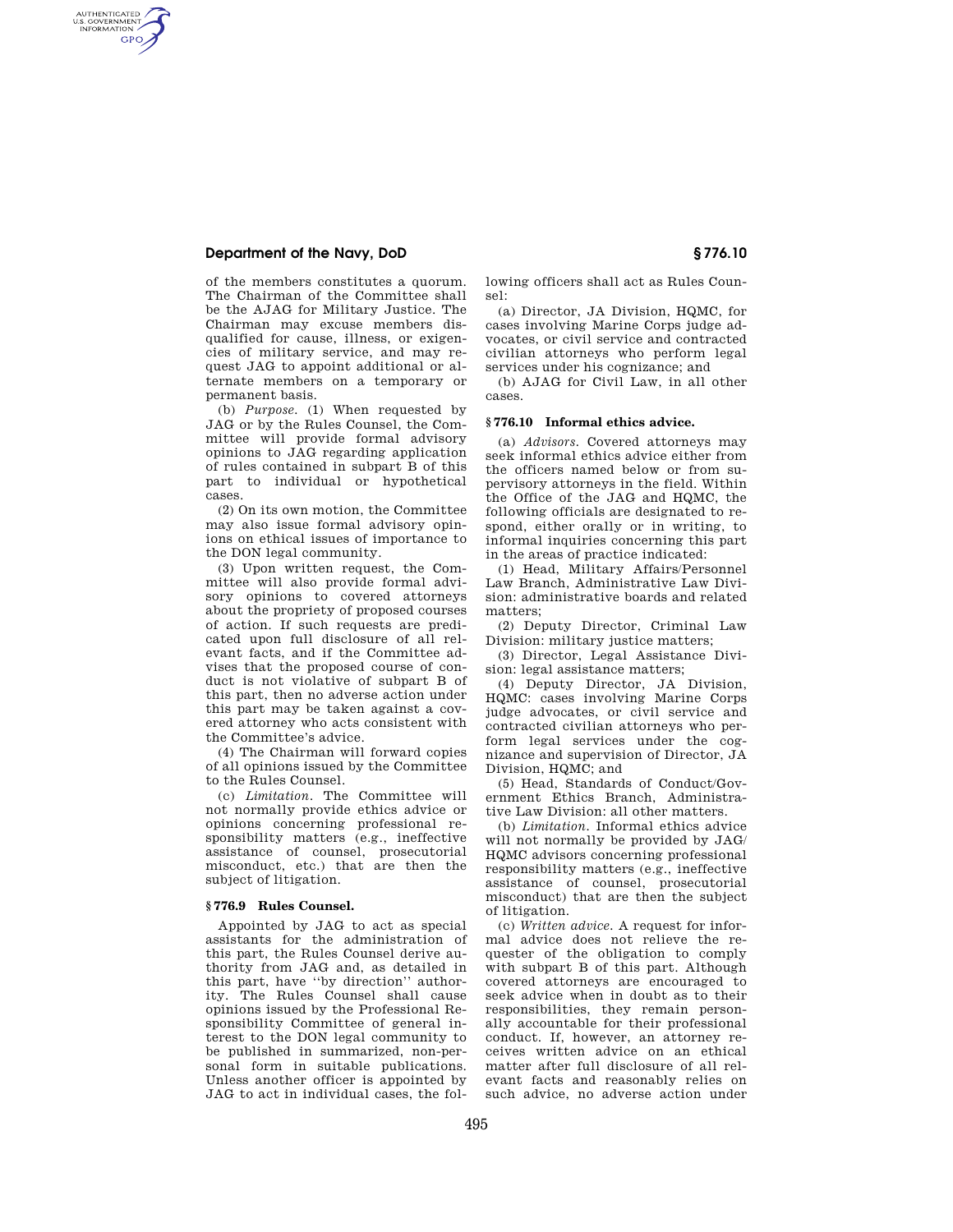## **Department of the Navy, DoD § 776.10**

AUTHENTICATED<br>U.S. GOVERNMENT<br>INFORMATION **GPO** 

> of the members constitutes a quorum. The Chairman of the Committee shall be the AJAG for Military Justice. The Chairman may excuse members disqualified for cause, illness, or exigencies of military service, and may request JAG to appoint additional or alternate members on a temporary or permanent basis.

> (b) *Purpose.* (1) When requested by JAG or by the Rules Counsel, the Committee will provide formal advisory opinions to JAG regarding application of rules contained in subpart B of this part to individual or hypothetical cases.

> (2) On its own motion, the Committee may also issue formal advisory opinions on ethical issues of importance to the DON legal community.

> (3) Upon written request, the Committee will also provide formal advisory opinions to covered attorneys about the propriety of proposed courses of action. If such requests are predicated upon full disclosure of all relevant facts, and if the Committee advises that the proposed course of conduct is not violative of subpart B of this part, then no adverse action under this part may be taken against a covered attorney who acts consistent with the Committee's advice.

> (4) The Chairman will forward copies of all opinions issued by the Committee to the Rules Counsel.

> (c) *Limitation.* The Committee will not normally provide ethics advice or opinions concerning professional responsibility matters (e.g., ineffective assistance of counsel, prosecutorial misconduct, etc.) that are then the subject of litigation.

#### **§ 776.9 Rules Counsel.**

Appointed by JAG to act as special assistants for the administration of this part, the Rules Counsel derive authority from JAG and, as detailed in this part, have ''by direction'' authority. The Rules Counsel shall cause opinions issued by the Professional Responsibility Committee of general interest to the DON legal community to be published in summarized, non-personal form in suitable publications. Unless another officer is appointed by JAG to act in individual cases, the following officers shall act as Rules Counsel:

(a) Director, JA Division, HQMC, for cases involving Marine Corps judge advocates, or civil service and contracted civilian attorneys who perform legal services under his cognizance; and

(b) AJAG for Civil Law, in all other cases.

#### **§ 776.10 Informal ethics advice.**

(a) *Advisors.* Covered attorneys may seek informal ethics advice either from the officers named below or from supervisory attorneys in the field. Within the Office of the JAG and HQMC, the following officials are designated to respond, either orally or in writing, to informal inquiries concerning this part in the areas of practice indicated:

(1) Head, Military Affairs/Personnel Law Branch, Administrative Law Division: administrative boards and related matters;

(2) Deputy Director, Criminal Law Division: military justice matters;

(3) Director, Legal Assistance Division: legal assistance matters;

(4) Deputy Director, JA Division, HQMC: cases involving Marine Corps judge advocates, or civil service and contracted civilian attorneys who perform legal services under the cognizance and supervision of Director, JA Division, HQMC; and

(5) Head, Standards of Conduct/Government Ethics Branch, Administrative Law Division: all other matters.

(b) *Limitation.* Informal ethics advice will not normally be provided by JAG/ HQMC advisors concerning professional responsibility matters (e.g., ineffective assistance of counsel, prosecutorial misconduct) that are then the subject of litigation.

(c) *Written advice.* A request for informal advice does not relieve the requester of the obligation to comply with subpart B of this part. Although covered attorneys are encouraged to seek advice when in doubt as to their responsibilities, they remain personally accountable for their professional conduct. If, however, an attorney receives written advice on an ethical matter after full disclosure of all relevant facts and reasonably relies on such advice, no adverse action under